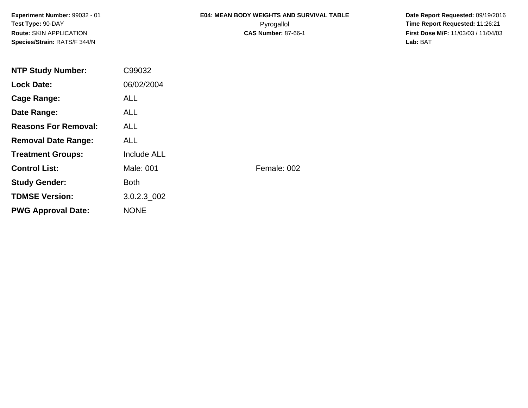**Experiment Number:** 99032 - 01**Test Type:** 90-DAY**Route:** SKIN APPLICATION**Species/Strain:** RATS/F 344/N

## **E04: MEAN BODY WEIGHTS AND SURVIVAL TABLE**Pyrogallol **Time Report Requested:** 11:26:21

 **Date Report Requested:** 09/19/2016 **First Dose M/F:** 11/03/03 / 11/04/03<br>**Lab:** BAT **Lab:** BAT

| <b>NTP Study Number:</b>    | C99032             |             |
|-----------------------------|--------------------|-------------|
| <b>Lock Date:</b>           | 06/02/2004         |             |
| Cage Range:                 | <b>ALL</b>         |             |
| Date Range:                 | <b>ALL</b>         |             |
| <b>Reasons For Removal:</b> | <b>ALL</b>         |             |
| <b>Removal Date Range:</b>  | <b>ALL</b>         |             |
| <b>Treatment Groups:</b>    | <b>Include ALL</b> |             |
| <b>Control List:</b>        | Male: 001          | Female: 002 |
| <b>Study Gender:</b>        | <b>Both</b>        |             |
| <b>TDMSE Version:</b>       | 3.0.2.3 002        |             |
| <b>PWG Approval Date:</b>   | <b>NONE</b>        |             |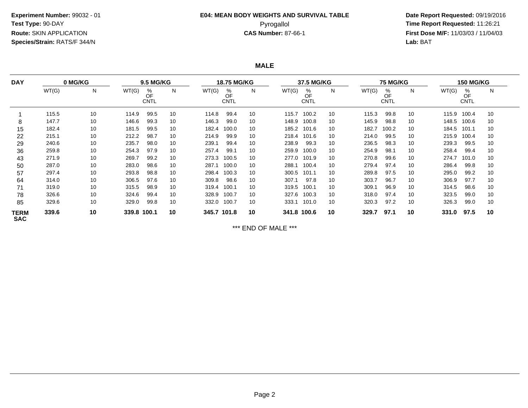# **E04: MEAN BODY WEIGHTS AND SURVIVAL TABLE**

 **Date Report Requested:** 09/19/2016 Pyrogallol **Time Report Requested:** 11:26:21 **First Dose M/F:** 11/03/03 / 11/04/03<br>**Lab:** BAT **Lab:** BAT

**MALE**

| <b>DAY</b>                | 0 MG/KG |    | <b>9.5 MG/KG</b> |                        |    | <b>18.75 MG/KG</b> |                 |    | 37.5 MG/KG  |                        |    | <b>75 MG/KG</b> |                        |    | <b>150 MG/KG</b> |                        |    |  |
|---------------------------|---------|----|------------------|------------------------|----|--------------------|-----------------|----|-------------|------------------------|----|-----------------|------------------------|----|------------------|------------------------|----|--|
|                           | WT(G)   | N  | WT(G)            | %<br>OF<br><b>CNTL</b> | N  | WT(G)              | %<br>OF<br>CNTL | N  | WT(G)       | %<br>OF<br><b>CNTL</b> | N  | WT(G)           | %<br>OF<br><b>CNTL</b> | N  | WT(G)            | %<br>OF<br><b>CNTL</b> | N  |  |
|                           | 115.5   | 10 | 114.9            | 99.5                   | 10 | 114.8              | 99.4            | 10 | 115.7       | 100.2                  | 10 | 115.3           | 99.8                   | 10 | 115.9            | 100.4                  | 10 |  |
| 8                         | 147.7   | 10 | 146.6            | 99.3                   | 10 | 146.3              | 99.0            | 10 | 148.9       | 100.8                  | 10 | 145.9           | 98.8                   | 10 | 148.5            | 100.6                  | 10 |  |
| 15                        | 182.4   | 10 | 181.5            | 99.5                   | 10 | 182.4              | 100.0           | 10 | 185.2       | 101.6                  | 10 | 182.7           | 100.2                  | 10 | 184.5            | 101.1                  | 10 |  |
| 22                        | 215.1   | 10 | 212.2            | 98.7                   | 10 | 214.9              | 99.9            | 10 | 218.4       | 101.6                  | 10 | 214.0           | 99.5                   | 10 | 215.9            | 100.4                  | 10 |  |
| 29                        | 240.6   | 10 | 235.7            | 98.0                   | 10 | 239.1              | 99.4            | 10 | 238.9       | 99.3                   | 10 | 236.5           | 98.3                   | 10 | 239.3            | 99.5                   | 10 |  |
| 36                        | 259.8   | 10 | 254.3            | 97.9                   | 10 | 257.4              | 99.1            | 10 | 259.9       | 100.0                  | 10 | 254.9           | 98.1                   | 10 | 258.4            | 99.4                   | 10 |  |
| 43                        | 271.9   | 10 | 269.7            | 99.2                   | 10 | 273.3              | 100.5           | 10 | 277.0       | 101.9                  | 10 | 270.8           | 99.6                   | 10 | 274.7            | 101.0                  | 10 |  |
| 50                        | 287.0   | 10 | 283.0            | 98.6                   | 10 | 287.1              | 100.0           | 10 | 288.1       | 100.4                  | 10 | 279.4           | 97.4                   | 10 | 286.4            | 99.8                   | 10 |  |
| 57                        | 297.4   | 10 | 293.8            | 98.8                   | 10 | 298.4              | 100.3           | 10 | 300.5       | 101.1                  | 10 | 289.8           | 97.5                   | 10 | 295.0            | 99.2                   | 10 |  |
| 64                        | 314.0   | 10 | 306.5            | 97.6                   | 10 | 309.8              | 98.6            | 10 | 307.1       | 97.8                   | 10 | 303.7           | 96.7                   | 10 | 306.9            | 97.7                   | 10 |  |
| 71                        | 319.0   | 10 | 315.5            | 98.9                   | 10 | 319.4              | 100.1           | 10 | 319.5       | 100.1                  | 10 | 309.1           | 96.9                   | 10 | 314.5            | 98.6                   | 10 |  |
| 78                        | 326.6   | 10 | 324.6            | 99.4                   | 10 | 328.9              | 100.7           | 10 | 327.6       | 100.3                  | 10 | 318.0           | 97.4                   | 10 | 323.5            | 99.0                   | 10 |  |
| 85                        | 329.6   | 10 | 329.0            | 99.8                   | 10 | 332.0 100.7        |                 | 10 | 333.1       | 101.0                  | 10 | 320.3           | 97.2                   | 10 | 326.3            | 99.0                   | 10 |  |
| <b>TERM</b><br><b>SAC</b> | 339.6   | 10 | 339.8 100.1      |                        | 10 | 345.7 101.8        |                 | 10 | 341.8 100.6 |                        | 10 | 329.7           | 97.1                   | 10 | 331.0            | 97.5                   | 10 |  |

\*\*\* END OF MALE \*\*\*